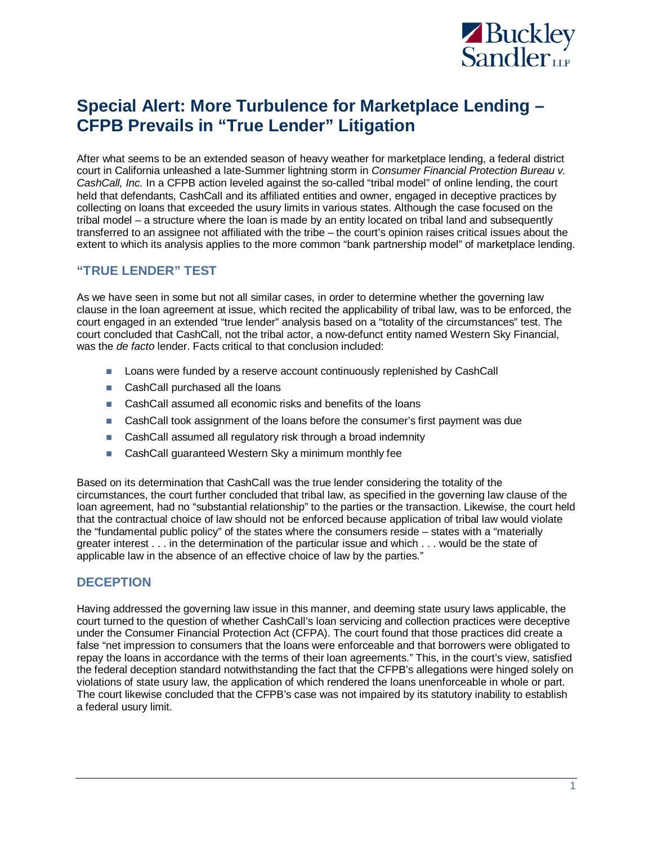

# **Special Alert: More Turbulence for Marketplace Lending – CFPB Prevails in "True Lender" Litigation**

After what seems to be an extended season of heavy weather for marketplace lending, a federal district court in California unleashed a late-Summer lightning storm in *Consumer Financial Protection Bureau v. CashCall, Inc.* In a CFPB action leveled against the so-called "tribal model" of online lending, the court held that defendants, CashCall and its affiliated entities and owner, engaged in deceptive practices by collecting on loans that exceeded the usury limits in various states. Although the case focused on the tribal model – a structure where the loan is made by an entity located on tribal land and subsequently transferred to an assignee not affiliated with the tribe – the court's opinion raises critical issues about the extent to which its analysis applies to the more common "bank partnership model" of marketplace lending.

## **"TRUE LENDER" TEST**

As we have seen in some but not all similar cases, in order to determine whether the governing law clause in the loan agreement at issue, which recited the applicability of tribal law, was to be enforced, the court engaged in an extended "true lender" analysis based on a "totality of the circumstances" test. The court concluded that CashCall, not the tribal actor, a now-defunct entity named Western Sky Financial, was the *de facto* lender. Facts critical to that conclusion included:

- **Loans were funded by a reserve account continuously replenished by CashCall**
- CashCall purchased all the loans
- CashCall assumed all economic risks and benefits of the loans
- CashCall took assignment of the loans before the consumer's first payment was due
- CashCall assumed all regulatory risk through a broad indemnity
- CashCall guaranteed Western Sky a minimum monthly fee

Based on its determination that CashCall was the true lender considering the totality of the circumstances, the court further concluded that tribal law, as specified in the governing law clause of the loan agreement, had no "substantial relationship" to the parties or the transaction. Likewise, the court held that the contractual choice of law should not be enforced because application of tribal law would violate the "fundamental public policy" of the states where the consumers reside – states with a "materially greater interest . . . in the determination of the particular issue and which . . . would be the state of applicable law in the absence of an effective choice of law by the parties."

#### **DECEPTION**

Having addressed the governing law issue in this manner, and deeming state usury laws applicable, the court turned to the question of whether CashCall's loan servicing and collection practices were deceptive under the Consumer Financial Protection Act (CFPA). The court found that those practices did create a false "net impression to consumers that the loans were enforceable and that borrowers were obligated to repay the loans in accordance with the terms of their loan agreements." This, in the court's view, satisfied the federal deception standard notwithstanding the fact that the CFPB's allegations were hinged solely on violations of state usury law, the application of which rendered the loans unenforceable in whole or part. The court likewise concluded that the CFPB's case was not impaired by its statutory inability to establish a federal usury limit.